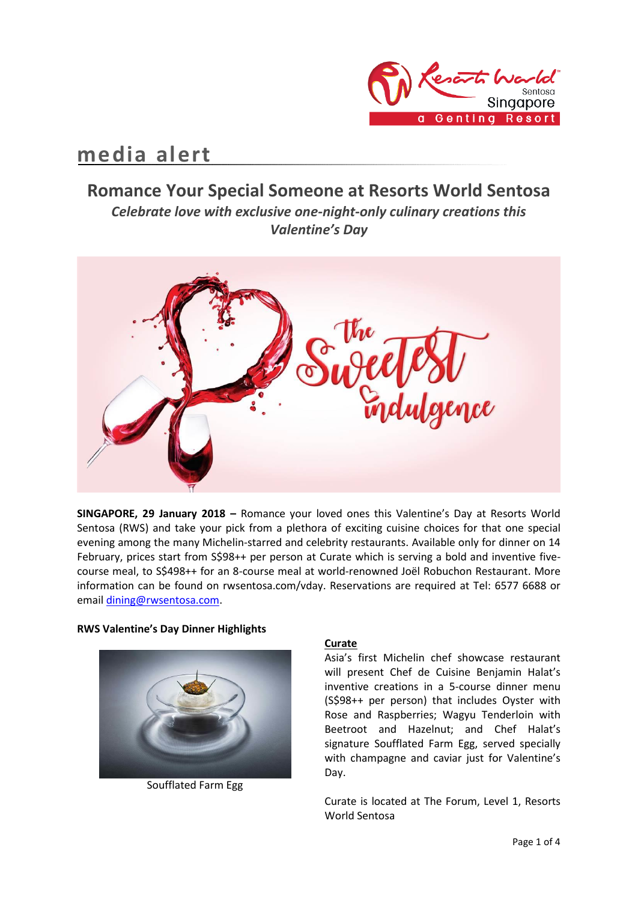

# **media alert**

# **Romance Your Special Someone at Resorts World Sentosa** *Celebrate love with exclusive one-night-only culinary creations this*

*Valentine's Day*



**SINGAPORE, 29 January 2018 –** Romance your loved ones this Valentine's Day at Resorts World Sentosa (RWS) and take your pick from a plethora of exciting cuisine choices for that one special evening among the many Michelin-starred and celebrity restaurants. Available only for dinner on 14 February, prices start from S\$98++ per person at Curate which is serving a bold and inventive fivecourse meal, to S\$498++ for an 8-course meal at world-renowned Joël Robuchon Restaurant. More information can be found on rwsentosa.com/vday. Reservations are required at Tel: 6577 6688 or email [dining@rwsentosa.com.](mailto:dining@rwsentosa.com)

#### **RWS Valentine's Day Dinner Highlights**



Soufflated Farm Egg

#### **Curate**

Asia's first Michelin chef showcase restaurant will present Chef de Cuisine Benjamin Halat's inventive creations in a 5-course dinner menu (S\$98++ per person) that includes Oyster with Rose and Raspberries; Wagyu Tenderloin with Beetroot and Hazelnut; and Chef Halat's signature Soufflated Farm Egg, served specially with champagne and caviar just for Valentine's Day.

Curate is located at The Forum, Level 1, Resorts World Sentosa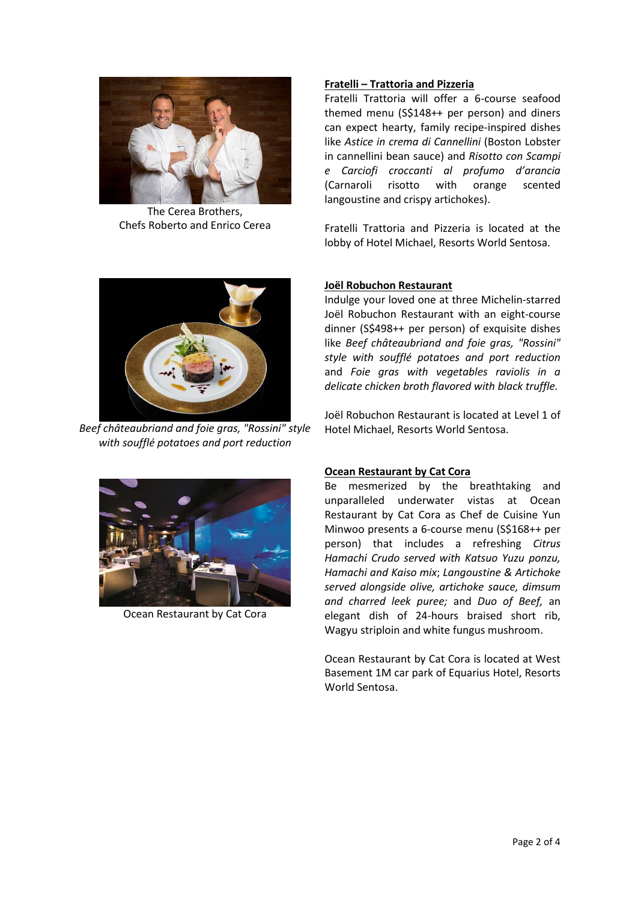

The Cerea Brothers, Chefs Roberto and Enrico Cerea



*Beef châteaubriand and foie gras, "Rossini" style with soufflé potatoes and port reduction*



Ocean Restaurant by Cat Cora

## **Fratelli – Trattoria and Pizzeria**

Fratelli Trattoria will offer a 6-course seafood themed menu (S\$148++ per person) and diners can expect hearty, family recipe-inspired dishes like *Astice in crema di Cannellini* (Boston Lobster in cannellini bean sauce) and *Risotto con Scampi e Carciofi croccanti al profumo d'arancia*  (Carnaroli risotto with orange scented langoustine and crispy artichokes).

Fratelli Trattoria and Pizzeria is located at the lobby of Hotel Michael, Resorts World Sentosa.

## **Joël Robuchon Restaurant**

Indulge your loved one at three Michelin-starred Joël Robuchon Restaurant with an eight-course dinner (S\$498++ per person) of exquisite dishes like *Beef châteaubriand and foie gras, "Rossini" style with soufflé potatoes and port reduction*  and *Foie gras with vegetables raviolis in a delicate chicken broth flavored with black truffle.* 

Joël Robuchon Restaurant is located at Level 1 of Hotel Michael, Resorts World Sentosa.

## **Ocean Restaurant by Cat Cora**

Be mesmerized by the breathtaking and unparalleled underwater vistas at Ocean Restaurant by Cat Cora as Chef de Cuisine Yun Minwoo presents a 6-course menu (S\$168++ per person) that includes a refreshing *Citrus Hamachi Crudo served with Katsuo Yuzu ponzu, Hamachi and Kaiso mix*; *Langoustine & Artichoke served alongside olive, artichoke sauce, dimsum and charred leek puree;* and *Duo of Beef,* an elegant dish of 24-hours braised short rib, Wagyu striploin and white fungus mushroom.

Ocean Restaurant by Cat Cora is located at West Basement 1M car park of Equarius Hotel, Resorts World Sentosa.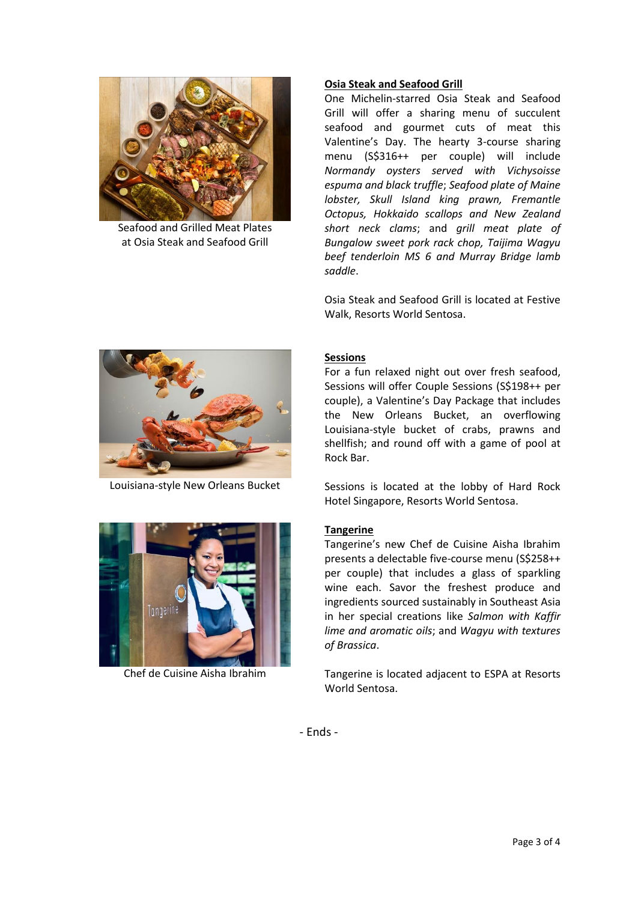

Seafood and Grilled Meat Plates at Osia Steak and Seafood Grill

#### **Osia Steak and Seafood Grill**

One Michelin-starred Osia Steak and Seafood Grill will offer a sharing menu of succulent seafood and gourmet cuts of meat this Valentine's Day. The hearty 3-course sharing menu (S\$316++ per couple) will include *Normandy oysters served with Vichysoisse espuma and black truffle*; *Seafood plate of Maine lobster, Skull Island king prawn, Fremantle Octopus, Hokkaido scallops and New Zealand short neck clams*; and *grill meat plate of Bungalow sweet pork rack chop, Taijima Wagyu beef tenderloin MS 6 and Murray Bridge lamb saddle*.

Osia Steak and Seafood Grill is located at Festive Walk, Resorts World Sentosa.



Louisiana-style New Orleans Bucket



Chef de Cuisine Aisha Ibrahim

# **Sessions**

For a fun relaxed night out over fresh seafood, Sessions will offer Couple Sessions (S\$198++ per couple), a Valentine's Day Package that includes the New Orleans Bucket, an overflowing Louisiana-style bucket of crabs, prawns and shellfish; and round off with a game of pool at Rock Bar.

Sessions is located at the lobby of Hard Rock Hotel Singapore, Resorts World Sentosa.

## **Tangerine**

Tangerine's new Chef de Cuisine Aisha Ibrahim presents a delectable five-course menu (S\$258++ per couple) that includes a glass of sparkling wine each. Savor the freshest produce and ingredients sourced sustainably in Southeast Asia in her special creations like *Salmon with Kaffir lime and aromatic oils*; and *Wagyu with textures of Brassica*.

Tangerine is located adjacent to ESPA at Resorts World Sentosa.